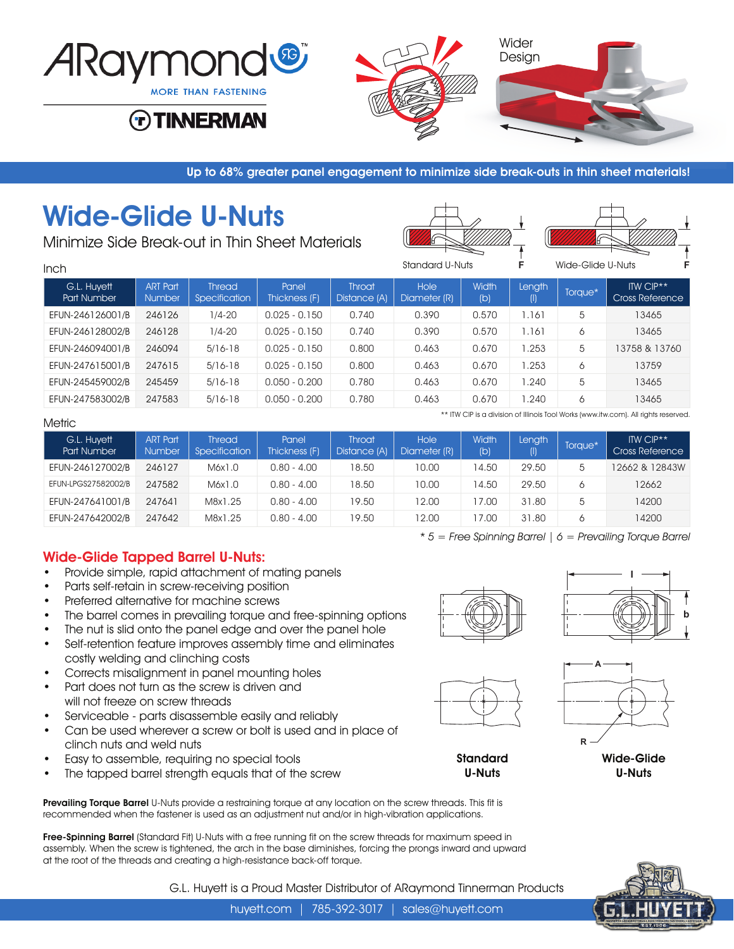

**TINERMAN** 





Up to 68% greater panel engagement to minimize side break-outs in thin sheet materials!

## Wide-Glide U-Nuts

Minimize Side Break-out in Thin Sheet Materials





| G.L. Huyett<br>Part Number                                                          | <b>ART Part</b><br><b>Number</b> | <b>Thread</b><br><b>Specification</b> | Panel<br>Thickness (F) | <b>Throat</b><br>Distance (A) | Hole<br>Diameter (R) | Width<br>(b) | Length | Torque* | ITW CIP**<br>Cross Reference |
|-------------------------------------------------------------------------------------|----------------------------------|---------------------------------------|------------------------|-------------------------------|----------------------|--------------|--------|---------|------------------------------|
| EFUN-246126001/B                                                                    | 246126                           | $1/4 - 20$                            | $0.025 - 0.150$        | 0.740                         | 0.390                | 0.570        | 1.161  | 5       | 13465                        |
| EFUN-246128002/B                                                                    | 246128                           | $1/4 - 20$                            | $0.025 - 0.150$        | 0.740                         | 0.390                | 0.570        | 1.161  | 6       | 13465                        |
| EFUN-246094001/B                                                                    | 246094                           | $5/16 - 18$                           | $0.025 - 0.150$        | 0.800                         | 0.463                | 0.670        | .253   | 5       | 13758 & 13760                |
| EFUN-247615001/B                                                                    | 247615                           | $5/16-18$                             | $0.025 - 0.150$        | 0.800                         | 0.463                | 0.670        | 1.253  | 6       | 13759                        |
| EFUN-245459002/B                                                                    | 245459                           | $5/16-18$                             | $0.050 - 0.200$        | 0.780                         | 0.463                | 0.670        | 1.240  | 5       | 13465                        |
| EFUN-247583002/B                                                                    | 247583                           | $5/16 - 18$                           | $0.050 - 0.200$        | 0.780                         | 0.463                | 0.670        | 1.240  | 6       | 13465                        |
| ** ITW CIP is a division of Illinois Tool Works (www.itw.com). All rights reserved. |                                  |                                       |                        |                               |                      |              |        |         |                              |

**Metric** 

Inch

| G.L. Huyett<br><b>Part Number</b> | <b>ART Part</b><br><b>Number</b> | <b>Thread</b><br><b>Specification</b> | Panel<br>Thickness (F) | <b>Throat</b><br>Distance (A) | Hole<br>Diameter (R) | Width<br>(b) | Length<br>$($ l | Torque* | ITW CIP**<br>Cross Reference |
|-----------------------------------|----------------------------------|---------------------------------------|------------------------|-------------------------------|----------------------|--------------|-----------------|---------|------------------------------|
| EFUN-246127002/B                  | 246127                           | M6x1.0                                | $0.80 - 4.00$          | 18,50                         | 10.00                | 14.50        | 29.50           | 5       | 12662 & 12843W               |
| EFUN-LPGS27582002/B               | 247582                           | M6x1.0                                | $0.80 - 4.00$          | 18.50                         | 10.00                | 14.50        | 29.50           |         | 12662                        |
| EFUN-247641001/B                  | 247641                           | M8x1.25                               | $0.80 - 4.00$          | 19.50                         | 12.00                | 17.00        | 31.80           | 5       | 14200                        |
| EFUN-247642002/B                  | 247642                           | M8x1.25                               | $0.80 - 4.00$          | 19.50                         | 12.00                | 17.00        | 31.80           |         | 14200                        |

## Wide-Glide Tapped Barrel U-Nuts:

- Provide simple, rapid attachment of mating panels
- Parts self-retain in screw-receiving position
- Preferred alternative for machine screws
- The barrel comes in prevailing torque and free-spinning options
- The nut is slid onto the panel edge and over the panel hole
- Self-retention feature improves assembly time and eliminates costly welding and clinching costs
- Corrects misalignment in panel mounting holes
- Part does not turn as the screw is driven and will not freeze on screw threads
- Serviceable parts disassemble easily and reliably
- Can be used wherever a screw or bolt is used and in place of clinch nuts and weld nuts
- Easy to assemble, requiring no special tools
- The tapped barrel strength equals that of the screw









 $* 5 =$  Free Spinning Barrel | 6 = Prevailing Torque Barrel





Wide-Glide U-Nuts

Prevailing Torque Barrel U-Nuts provide a restraining torque at any location on the screw threads. This fit is recommended when the fastener is used as an adjustment nut and/or in high-vibration applications.

Free-Spinning Barrel (Standard Fit) U-Nuts with a free running fit on the screw threads for maximum speed in assembly. When the screw is tightened, the arch in the base diminishes, forcing the prongs inward and upward at the root of the threads and creating a high-resistance back-off torque.

G.L. Huyett is a Proud Master Distributor of ARaymond Tinnerman Products